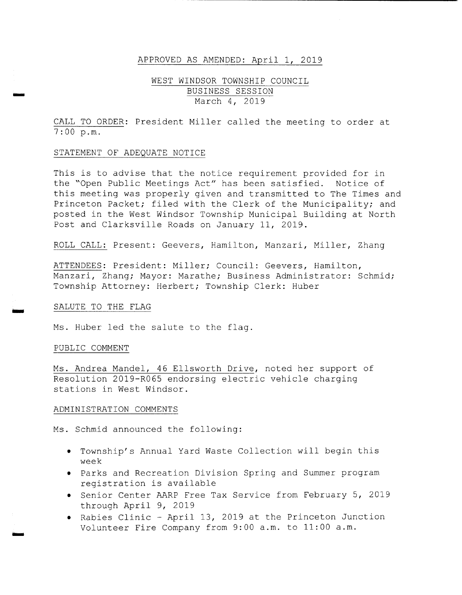### APPROVED AS AMENDED: April 1, 2019

## WEST WINDSOR TOWNSHIP COUNCIL BUSINESS SESSION March 4, 2019

CALL TO ORDER: President Miller called the meeting to order at 7 : 00 p. m.

### STATEMENT OF ADEQUATE NOTICE

This is to advise that the notice requirement provided for in the " Open Public Meetings Act" has been satisfied. Notice of this meeting was properly given and transmitted to The Times and Princeton Packet; filed with the Clerk of the Municipality; and posted in the West Windsor Township Municipal Building at North Post and Clarksville Roads on January 11, 2019 .

ROLL CALL: Present: Geevers, Hamilton, Manzari, Miller, Zhang

ATTENDEES: President: Miller; Council: Geevers, Hamilton, Manzari, Zhang; Mayor: Marathe; Business Administrator: Schmid; Township Attorney: Herbert; Township Clerk: Huber

### SALUTE TO THE FLAG

Ms. Huber led the salute to the flag.

### PUBLIC COMMENT

rnr

Ms. Andrea Mandel, 46 Ellsworth Drive, noted her support of Resolution 2019-R065 endorsing electric vehicle charging stations in West Windsor.

### ADMINISTRATION COMMENTS

Ms. Schmid announced the following:

- Township' s Annual Yard Waste Collection will begin this week
- Parks and Recreation Division Spring and Summer program registration is available
- Senior Center AARP Free Tax Service from February 5, 2019 through April 9, 2019
- Rabies Clinic April 13, 2019 at the Princeton Junction Volunteer Fire Company from 9:00 a.m. to 11:00 a.m.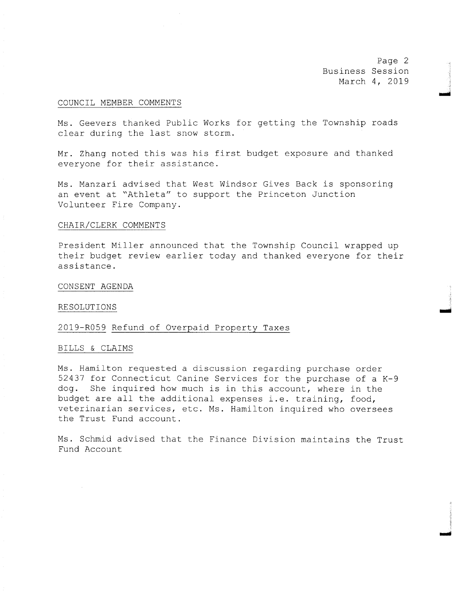Page 2 Business Session March 4, 2019

mai

### COUNCIL MEMBER COMMENTS

Ms . Geevers thanked Public Works for getting the Township roads clear during the last snow storm.

Mr. Zhang noted this was his first budget exposure and thanked everyone for their assistance .

Ms . Manzari advised that West Windsor Gives Back is sponsoring an event at "Athleta" to support the Princeton Junction Volunteer Fire Company.

### CHAIR/ CLERK COMMENTS

President Miller announced that the Township Council wrapped up their budget review earlier today and thanked everyone for their assistance.

### CONSENT AGENDA

RESOLUTIONS

### 2019- R059 Refund of Overpaid Property Taxes

## BILLS & CLAIMS

Ms. Hamilton requested a discussion regarding purchase order 52437 for Connecticut Canine Services for the purchase of a K-9 dog. She inquired how much is in this account, where in the budget are all the additional expenses i.e. training, food, veterinarian services, etc. Ms. Hamilton inquired who oversees the Trust Fund account .

Ms . Schmid advised that the Finance Division maintains the Trust Fund Account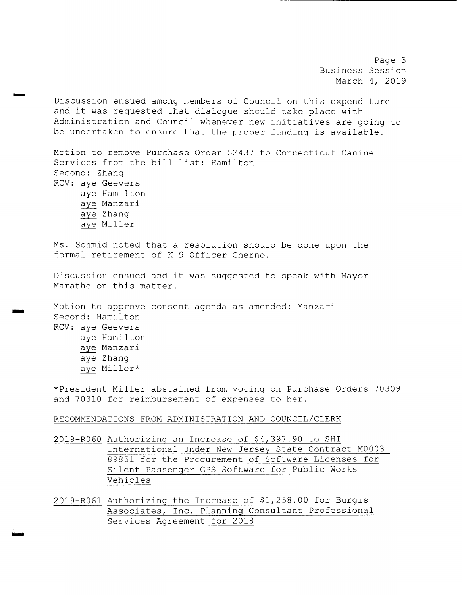Page 3 Business Session March 4, 2019

Discussion ensued among members of Council on this expenditure and it was requested that dialogue should take place with Administration and Council whenever new initiatives are going to be undertaken to ensure that the proper funding is available.

Motion to remove Purchase Order 52437 to Connecticut Canine Services from the bill list: Hamilton Second: Zhang RCV: aye Geevers aye Hamilton aye Manzari aye Zhang aye Miller

Ms . Schmid noted that <sup>a</sup> resolution should be done upon the formal retirement of K-9 Officer Cherno.

Discussion ensued and it was suggested to speak with Mayor Marathe on this matter.

Motion to approve consent agenda as amended: Manzari Second: Hamilton RCV: aye Geevers aye Hamilton aye Manzari aye Zhang aye Miller\*

President Miller abstained from voting on Purchase Orders <sup>70309</sup> and <sup>70310</sup> for reimbursement of expenses to her.

### RECOMMENDATIONS FROM ADMINISTRATION AND COUNCIL/CLERK

2019- R060 Authorizing an Increase of \$4, 397 . 90 to SHI International Under New Jersey State Contract M0003- 89851 for the Procurement of Software Licenses for Silent Passenger GPS Software for Public Works Vehicles

2019-R061 Authorizing the Increase of \$1,258.00 for Burgis Associates, Inc. Planning Consultant Professional Services Agreement for <sup>2018</sup>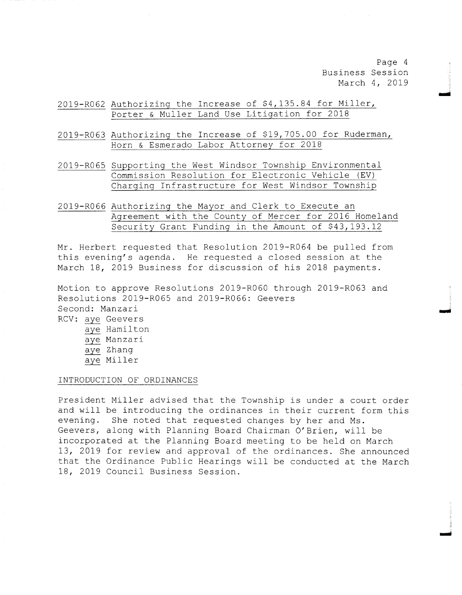Page <sup>4</sup> Business Session March 4, 2019

نسه

smoi

- 2019- R062 Authorizing the Increase of \$4, 135 . 84 for Miller, Porter & Muller Land Use Litigation for <sup>2018</sup>
- 2019- R063 Authorizing the Increase of \$19, 705 . 00 for Ruderman, Horn & Esmerado Labor Attorney for 2018
- 2019- R065 Supporting the West Windsor Township Environmental Commission Resolution for Electronic Vehicle (EV) Charging Infrastructure for West Windsor Township
- 2019- R066 Authorizing the Mayor and Clerk to Execute an Agreement with the County of Mercer for 2016 Homeland Security Grant Funding in the Amount of \$43, 193 . 12

Mr. Herbert requested that Resolution 2019-R064 be pulled from this evening's agenda. He requested a closed session at the March 18, 2019 Business for discussion of his 2018 payments.

Motion to approve Resolutions 2019-R060 through 2019-R063 and Resolutions 2019- R065 and 2019- R066: Geevers Second: Manzari RCV: aye Geevers aye Hamilton aye Manzari aye Zhang aye Miller

INTRODUCTION OF ORDINANCES

President Miller advised that the Township is under <sup>a</sup> court order and will be introducing the ordinances in their current form this evening. She noted that requested changes by her and Ms. Geevers, along with Planning Board Chairman O' Brien, will be incorporated at the Planning Board meeting to be held on March 13, 2019 for review and approval of the ordinances . She announced that the Ordinance Public Hearings will be conducted at the March 18, 2019 Council Business Session.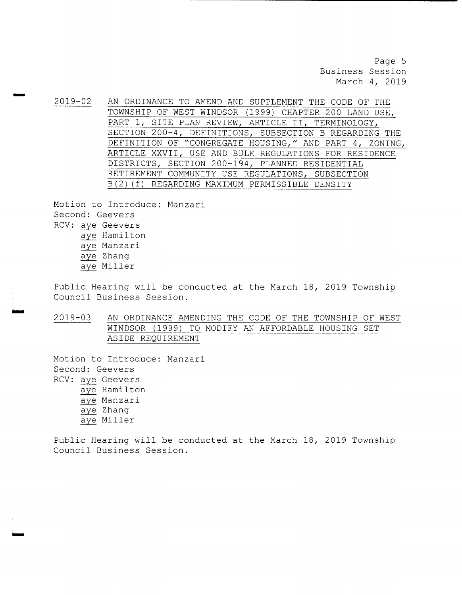Page 5 Business Session March 4, 2019

2019- 02 AN ORDINANCE TO AMEND AND SUPPLEMENT THE CODE OF THE TOWNSHIP OF WEST WINDSOR ( 1999) CHAPTER 200 LAND USE, PART 1, SITE PLAN REVIEW, ARTICLE II, TERMINOLOGY, SECTION 200-4, DEFINITIONS, SUBSECTION B REGARDING THE DEFINITION OF "CONGREGATE HOUSING," AND PART 4, ZONING, ARTICLE XXVII, USE AND BULK REGULATIONS FOR RESIDENCE DISTRICTS, SECTION 200-194, PLANNED RESIDENTIAL RETIREMENT COMMUNITY USE REGULATIONS, SUBSECTION B ( 2) ( f) REGARDING MAXIMUM PERMISSIBLE DENSITY

Motion to Introduce: Manzari Second: Geevers RCV: aye Geevers aye Hamilton aye Manzari aye Zhang aye Miller

aim

111111

Public Hearing will be conducted at the March 18, <sup>2019</sup> Township Council Business Session.

2019- 03 AN ORDINANCE AMENDING THE CODE OF THE TOWNSHIP OF WEST WINDSOR ( 1999) TO MODIFY AN AFFORDABLE HOUSING SET ASIDE REQUIREMENT

Motion to Introduce: Manzari Second: Geevers RCV: aye Geevers aye Hamilton aye Manzari aye Zhang aye Miller

Public Hearing will be conducted at the March 18, <sup>2019</sup> Township Council Business Session.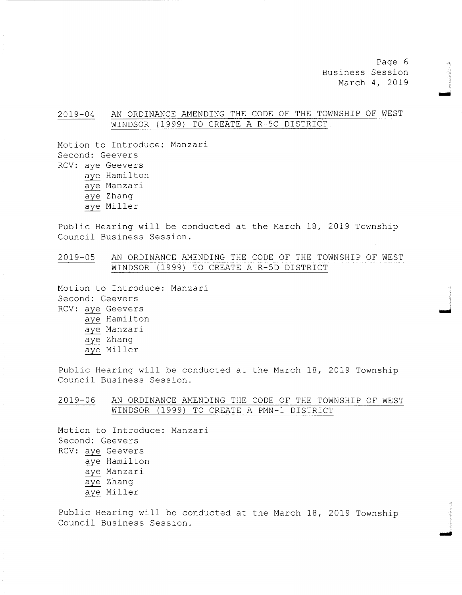Page 6 Business Session March 4, 2019

## 2019- 04 AN ORDINANCE AMENDING THE CODE OF THE TOWNSHIP OF WEST WINDSOR ( 1999) TO CREATE A R- 5C DISTRICT

Motion to Introduce: Manzari Second: Geevers RCV: aye Geevers aye Hamilton aye Manzari aye Zhang aye Miller

Public Hearing will be conducted at the March 18, <sup>2019</sup> Township Council Business Session.

## 2019-05 AN ORDINANCE AMENDING THE CODE OF THE TOWNSHIP OF WEST WINDSOR ( 1999) TO CREATE A R- 5D DISTRICT

Motion to Introduce: Manzari Second: Geevers RCV: aye Geevers aye Hamilton aye Manzari aye Zhang aye Miller

Public Hearing will be conducted at the March 18, <sup>2019</sup> Township Council Business Session.

### 2019-06 AN ORDINANCE AMENDING THE CODE OF THE TOWNSHIP OF WEST WINDSOR (1999) TO CREATE A PMN-1 DISTRICT

Motion to Introduce: Manzari Second: Geevers RCV: aye Geevers aye Hamilton aye Manzari aye Zhang aye Miller

Public Hearing will be conducted at the March 18, <sup>2019</sup> Township Council Business Session.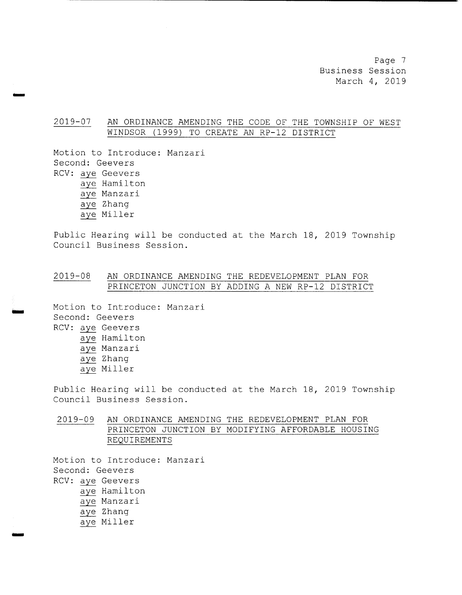Page <sup>7</sup> Business Session March 4, 2019

## 2019-07 AN ORDINANCE AMENDING THE CODE OF THE TOWNSHIP OF WEST WINDSOR (1999) TO CREATE AN RP-12 DISTRICT

Motion to Introduce: Manzari Second: Geevers RCV: aye Geevers aye Hamilton aye Manzari aye Zhang aye Miller

moo

aim

Public Hearing will be conducted at the March 18, <sup>2019</sup> Township Council Business Session.

## 2019- 08 AN ORDINANCE AMENDING THE REDEVELOPMENT PLAN FOR PRINCETON JUNCTION BY ADDING A NEW RP-12 DISTRICT

Motion to Introduce: Manzari Second: Geevers RCV: aye Geevers aye Hamilton aye Manzari aye Zhang aye Miller

Public Hearing will be conducted at the March 18, <sup>2019</sup> Township Council Business Session.

## 2019- 09 AN ORDINANCE AMENDING THE REDEVELOPMENT PLAN FOR PRINCETON JUNCTION BY MODIFYING AFFORDABLE HOUSING REQUIREMENTS

Motion to Introduce: Manzari Second: Geevers RCV: aye Geevers aye Hamilton aye Manzari aye Zhang aye Miller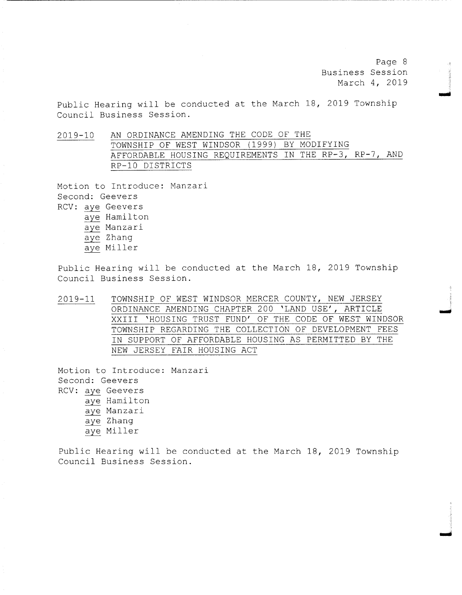Page <sup>8</sup> Business Session March 4, 2019

Public Hearing will be conducted at the March 18, <sup>2019</sup> Township Council Business Session.

2019-10 AN ORDINANCE AMENDING THE CODE OF THE TOWNSHIP OF WEST WINDSOR ( 1999) BY MODIFYING AFFORDABLE HOUSING REQUIREMENTS IN THE RP-3, RP-7, AND RP-10 DISTRICTS

Motion to Introduce: Manzari Second: Geevers RCV: aye Geevers aye Hamilton aye Manzari aye Zhang aye Miller

Public Hearing will be conducted at the March 18, <sup>2019</sup> Township Council Business Session.

2019-11 TOWNSHIP OF WEST WINDSOR MERCER COUNTY, NEW JERSEY ORDINANCE AMENDING CHAPTER 200 ' LAND USE' , ARTICLE XXIII ` HOUSING TRUST FUND' OF THE CODE OF WEST WINDSOR TOWNSHIP REGARDING THE COLLECTION OF DEVELOPMENT FEES IN SUPPORT OF AFFORDABLE HOUSING AS PERMITTED BY THE NEW JERSEY FAIR HOUSING ACT

Motion to Introduce: Manzari Second: Geevers RCV: aye Geevers aye Hamilton aye Manzari aye Zhang aye Miller

Public Hearing will be conducted at the March 18, <sup>2019</sup> Township Council Business Session.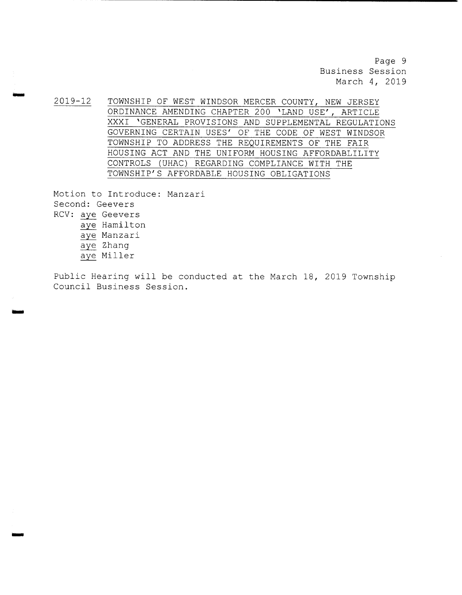Page 9 Business Session March 4, 2019

2019-12 TOWNSHIP OF WEST WINDSOR MERCER COUNTY, NEW JERSEY ORDINANCE AMENDING CHAPTER 200 'LAND USE', ARTICLE XXXI ` GENERAL PROVISIONS AND SUPPLEMENTAL REGULATIONS GOVERNING CERTAIN USES' OF THE CODE OF WEST WINDSOR TOWNSHIP TO ADDRESS THE REQUIREMENTS OF THE FAIR HOUSING ACT AND THE UNIFORM HOUSING AFFORDABLILITY CONTROLS ( UHAC) REGARDING COMPLIANCE WITH THE TOWNSHIP' S AFFORDABLE HOUSING OBLIGATIONS

Motion to Introduce: Manzari Second: Geevers RCV: aye Geevers aye Hamilton aye Manzari aye Zhang aye Miller

imam

Public Hearing will be conducted at the March 18, <sup>2019</sup> Township Council Business Session.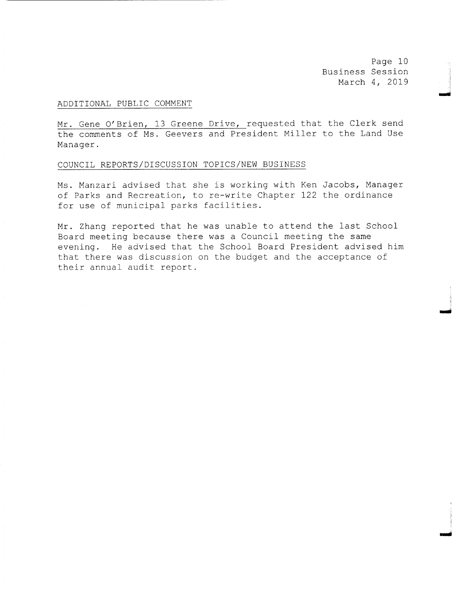Page 10 Business Session March 4, 2019

### ADDITIONAL PUBLIC COMMENT

Mr. Gene O' Brien, <sup>13</sup> Greene Drive, requested that the Clerk send the comments of Ms. Geevers and President Miller to the Land Use Manager.

### COUNCIL REPORTS/ DISCUSSION TOPICS/ NEW BUSINESS

Ms . Manzari advised that she is working with Ken Jacobs, Manager of Parks and Recreation, to re-write Chapter 122 the ordinance for use of municipal parks facilities .

Mr. Zhang reported that he was unable to attend the last School Board meeting because there was <sup>a</sup> Council meeting the same evening. He advised that the School Board President advised him that there was discussion on the budget and the acceptance of their annual audit report .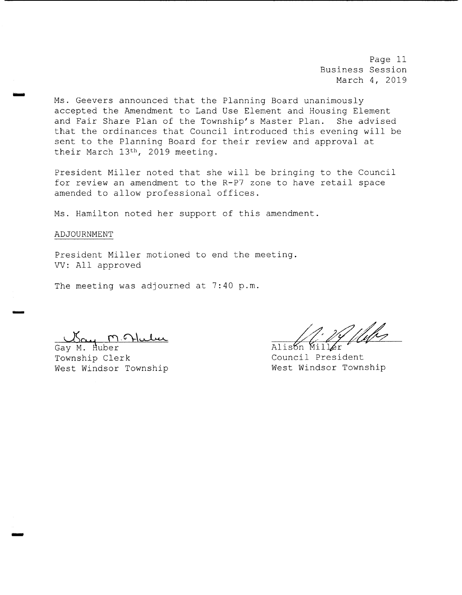Page 11 Business Session March 4, 2019

Ms . Geevers announced that the Planning Board unanimously accepted the Amendment to Land Use Element and Housing Element and Fair Share Plan of the Township's Master Plan. She advised that the ordinances that Council introduced this evening will be sent to the Planning Board for their review and approval at their March 13th, <sup>2019</sup> meeting.

President Miller noted that she will be bringing to the Council for review an amendment to the R-P7 zone to have retail space amended to allow professional offices .

Ms. Hamilton noted her support of this amendment.

ADJOURNMENT

woo

11111111

President Miller motioned to end the meeting. VV: All approved

The meeting was adjourned at 7:40 p.m.

 $\begin{array}{c|c}\n\hline\n\text{Gay M. Huber} \\
\text{Township Clerk} \\
\text{Township Clerk}\n\end{array}\n\qquad\n\begin{array}{c}\n\hline\n\text{Alison Miller} \\
\text{Council President}\n\end{array}$ 

Township Clerk Council President West Windsor Township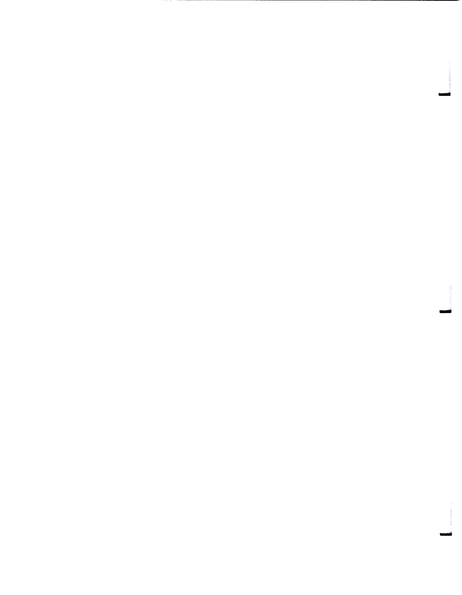yard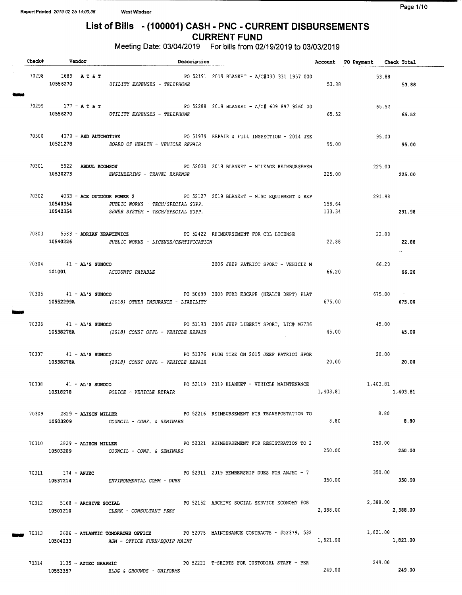# List of Bills - (100001) CASH - PNC - CURRENT DISBURSEMENTS

CURRENT FUND

Meeting Date: 03/04/2019 For bills from 02/19/2019 to 03/03/2019

|  | ${\bf Check}\# \hspace{2.5cm} {\bf Vendor}$       | Description                                                                              |                                                                                         |                  | Account PO Payment Check Total |                               |
|--|---------------------------------------------------|------------------------------------------------------------------------------------------|-----------------------------------------------------------------------------------------|------------------|--------------------------------|-------------------------------|
|  | 70298 1689 - <b>A T &amp; T</b>                   | 10556270 UTILITY EXPENSES - TELEPHONE                                                    | PO 52191 2019 BLANKET - A/C#030 331 1957 000                                            | 53.88            | 53.88                          | 53.88                         |
|  |                                                   | 10556270 UTILITY EXPENSES - TELEPHONE                                                    | 70299 177 - A T & T CH 609 897 9260 00                                                  | 65.52            | 65.52                          | 65.52                         |
|  | 70300 4079 - A&D AUTOMOTIVE<br>10521278           | BOARD OF HEALTH - VEHICLE REPAIR                                                         | PO 51979 REPAIR & FULL INSPECTION - 2014 JEE                                            | 95.00            | 95.00                          | 95.00                         |
|  |                                                   | 10530273 ENGINEERING - TRAVEL EXPENSE                                                    | 70301 5822 - ABDUL KOOMSON 6 69 2030 2019 BLANKET - MILEAGE REIMBURSEMEN                | 225.00           | 225.00                         | 225.00                        |
|  |                                                   | 10540354 PUBLIC WORKS - TECH/SPECIAL SUPP.<br>10542354 SEWER SYSTEM - TECH/SPECIAL SUPP. | 70302 4033 - ACE OUTDOOR POWER 2 POS2127 2019 BLANKET - MISC EQUIPMENT & REP            | 158.64<br>133.34 | 291.98<br>291.98               |                               |
|  | 70303 5583 - ADRIAN KRAWCEWICZ<br>10540226        | PUBLIC WORKS - LICENSE/CERTIFICATION                                                     | PO 52422 REIMBURSEMENT FOR CDL LICENSE                                                  | 22.88            | 22.88                          | 22,88<br>and the state of the |
|  | 70304 41 - AL'S SUNOCO<br>101001 ACCOUNTS PAYABLE |                                                                                          | 2006 JEEP PATRIOT SPORT - VEHICLE M                                                     | 66.20            | 66.20                          | 66.20                         |
|  |                                                   | 70305 41 - AL'S SUNOCO<br>10552299A (2018) OTHER INSURANCE - LIABILITY                   | PO 50689 2008 FORD ESCAPE (HEALTH DEPT) PLAT                                            | 675.00           |                                | 675.00 (1)<br>675.00          |
|  | 70306 41 - AL'S SUNOCO                            | 10538278A (2018) CONST OFFL - VEHICLE REPAIR                                             | PO 51193 2006 JEEP LIBERTY SPORT, LIC# MG736                                            | 45.00            | 45.00                          | 45.00                         |
|  |                                                   | 10538278A (2018) CONST OFFL - VEHICLE REPAIR                                             | 70307 41 - AL'S SUNOCO <b>120 120 1316</b> PO 51376 PLUG TIRE ON 2015 JEEP PATRIOT SPOR | 20,00            | 20.00                          | 20.00                         |
|  |                                                   | 70308 41 - AL'S SUNOCO<br>10518278 POLICE - VEHICLE REPAIR                               | PO 52119 2019 BLANKET - VEHICLE MAINTENANCE                                             |                  | 1,403.81<br>1,403.81 1.403.81  |                               |
|  | 70309 2829 - ALISON MILLER                        | 10503209 COUNCIL - CONF. & SEMINARS                                                      | PO 52216 REIMBURSEMENT FOR TRANSPORTATION TO                                            | 8.80             | 8.80                           | 8.80                          |
|  | 70310 2829 - ALISON MILLER                        | 10503209 COUNCIL - CONF. & SEMINARS                                                      | PO 52321 REIMBURSEMENT FOR REGISTRATION TO 2                                            | 250.00           | 250.00                         | 250.00                        |
|  | 70311 174 - ANJEC                                 | 10537214 ENVIRONMENTAL COMM - DUES                                                       | PO 52311 2019 MEMBERSHIP DUES FOR ANJEC $-7$                                            | 350.00           | 350.00                         | 350.00                        |
|  | 70312 5168 - ARCHIVE SOCIAL<br>10501210           | CLERK - CONSULTANT FEES                                                                  | PO 52152 ARCHIVE SOCIAL SERVICE ECONOMY FOR                                             | 2,388.00         | 2,388.00                       | 2,388.00                      |
|  |                                                   | 10504233 ADM - OFFICE FURN/EQUIP MAINT                                                   | 70313 2606 - ATLANTIC TOMORROWS OFFICE PO 52075 MAINTENANCE CONTRACTS - #52379, 532     | 1,821.00         | 1,821.00                       | 1,821.00                      |
|  | 70314 1135 - AZTEC GRAPHIC<br>10553357            | BLDG & GROUNDS - UNIFORMS                                                                | PO 52221 T-SHIRTS FOR CUSTODIAL STAFF - PER                                             | 249.00           | 249.00                         | 249.00                        |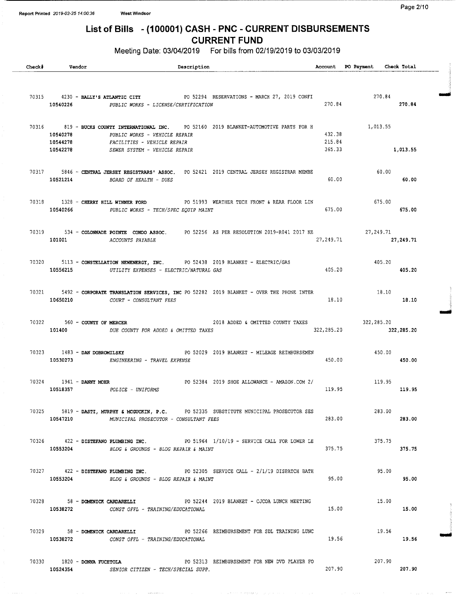# List of Bills - (100001) CASH - PNC - CURRENT DISBURSEMENTS CURRENT FUND

Meeting Date: 03/04/2019 For bills from 02/19/2019 to 03/03/2019

| Check# | Vendor                                   | Description                                                                                                                                                                                                          |                  | Account PO Payment Check Total |                  |  |
|--------|------------------------------------------|----------------------------------------------------------------------------------------------------------------------------------------------------------------------------------------------------------------------|------------------|--------------------------------|------------------|--|
|        |                                          |                                                                                                                                                                                                                      |                  |                                |                  |  |
|        |                                          | 10315 4230 - <b>BALLY'S ATLANTIC CITY PO 52294 RESERVATIONS - MARCH 27, 2019 CONFI</b> 270.84 270.84<br>270.84 PUBLIC WORKS - LICENSE/CERTIFICATION<br>10540226 PUBLIC WORKS - LICENSE/CERTIFICATION                 |                  |                                |                  |  |
|        |                                          | 70316 819 - BUCKS COUNTY INTERNATIONAL INC. PO 52160 2019 BLANKET-AUTOMOTIVE PARTS FOR H<br>10540278 PUBLIC WORKS - VEHICLE REPAIR<br>10544278 FACILITIES - VEHICLE REPAIR<br>10542278 SEWER SYSTEM - VEHICLE REPAIR | 432.38<br>215.84 | 1,013.55<br>365.33 1,013.55    |                  |  |
|        |                                          | 70317 5846 ~ CENTRAL JERSEY REGISTRARS' ASSOC. PO 52421 2019 CENTRAL JERSEY REGISTRAR MEMBE<br>10521214 BOARD OF HEALTH - DUES                                                                                       | 60.00            | 60.00                          | 60.00            |  |
|        |                                          | 70318 1328 - CHERRY HILL WINNER FORD PO 51993 WEATHER TECH FRONT & REAR FLOOR LIN<br>10540266 PUBLIC WORKS - TECH/SPEC EQUIP MAINT                                                                                   |                  | 675.00<br>675.00 675.00        |                  |  |
|        | 101001 ACCOUNTS PAYABLE                  | 70319 534 - COLONNADE POINTE CONDO ASSOC. PO 52256 AS PER RESOLUTION 2019-R041 2017 KE 27,249.71                                                                                                                     |                  | 27, 249. 71 27, 249. 71        |                  |  |
|        |                                          | 70320 5113 - CONSTELLATION NEWENERGY, INC. PO 52438 2019 BLANKET - ELECTRIC/GAS<br>10556215 0TILITY EXPENSES - ELECTRIC/NATURAL GAS<br>10556215 UTILITY EXPENSES - ELECTRIC/NATURAL GAS                              |                  | $405.20$ $405.20$              |                  |  |
|        |                                          | 70321 5492 - CORPORATE TRANSLATION SERVICES, INC PO 52282 2019 BLANKET - OVER THE PHONE INTER<br>10650210 COURT - CONSULTANT FEES                                                                                    | 18.10            | 18.10<br>18.10                 |                  |  |
|        | $70322$ 560 - COUNTY OF MERCER<br>101400 | 2018 ADDED & OMITTED COUNTY TAXES<br>$O$ MITTED TAXES 322,285.20<br>DUE COUNTY FOR ADDED & OMITTED TAXES                                                                                                             |                  | 322,285.20<br>322,285.20       |                  |  |
|        |                                          | 70323 1483 - DAN DOBROMILSKY PO 52029 2019 BLANKET - MILEAGE REIMBURSEMEN<br>10530273 ENGINEERING - TRAVEL EXPENSE                                                                                                   | 450.00           | $450.00$ $450.00$              |                  |  |
|        | 10518357 POLICE - UNIFORMS               | 70324 1941 - DANNY MOHR PO 52384 2019 SHOE ALLOWANCE - AMAZON.COM 2/                                                                                                                                                 |                  | 119.95 119.95                  |                  |  |
|        |                                          | 70325 5819 - DASTI, MURPHY & MCGUCKIN, P.C. PO 52335 SUBSTITUTE MUNICIPAL PROSECUTOR SES<br>10547210 MUNICIPAL PROSECUTOR - CONSULTANT FEES                                                                          | 283.00           | 283.00                         | 283.00           |  |
|        |                                          | 70326 422 - DISTEFANO PLUMBING INC. PO 51964 1/10/19 - SERVICE CALL FOR LOWER LE<br>10553204 BLDG & GROUNDS - BLDG REPAIR & MAINT                                                                                    | 375.75           |                                | 375.75<br>375.75 |  |
|        | 10553204                                 | 70327 422 - DISTEFANO PLUMBING INC. PO 52305 SERVICE CALL - 2/1/19 DISPATCH BATH<br>BLDG & GROUNDS - BLDG REPAIR & MAINT                                                                                             | 95.00            | 95.00                          | 95.00            |  |
|        |                                          | 70328 58 - DOMENICK CARDARELLI PO 52244 2019 BLANKET - CJCOA LUNCH MEETING<br>10538272 CONST OFFL - TRAINING/EDUCATIONAL                                                                                             | 15.00            | 15.00                          | 15.00            |  |
|        |                                          | 70329 58 - DOMENICK CARDARELLI PO 52266 REIMBURSEMENT FOR SDL TRAINING LUNC<br>10538272 CONST OFFL - TRAINING/EDUCATIONAL                                                                                            | 19.56            | 19.56                          | 19,56            |  |
|        | 70330 1820 - DONNA FUCETOLA              | PO 52313 REIMBURSEMENT FOR NEW DVD PLAYER FO<br>10524354 SENIOR CITIZEN - TECH/SPECIAL SUPP.                                                                                                                         | 207.90           | 207.90                         | 207.90           |  |

and the contract of the second company of the

 $\alpha = 1, 1, 2, \cdots = 1, 1, \cdots$ 

 $\sigma$   $\sim$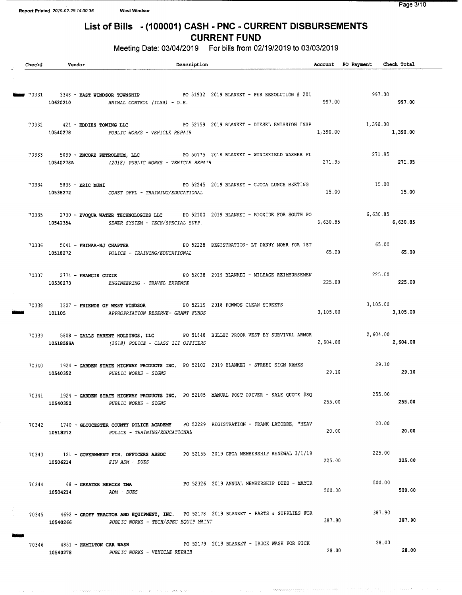and and an interesting and a

 $\sim 100$  km s  $^{-1}$ 

# List of Bills - (100001) CASH - PNC - CURRENT DISBURSEMENTS CURRENT FUND

Meeting Date: 03/04/2019 For bills from 02/19/2019 to 03/03/2019

| Check# | Vendor                                                   | Description                                    |                                                                                                |          | Account PO Payment Check Total |          |
|--------|----------------------------------------------------------|------------------------------------------------|------------------------------------------------------------------------------------------------|----------|--------------------------------|----------|
|        |                                                          |                                                |                                                                                                |          |                                |          |
|        | <b>ENGINE 70331 3348 - EAST WINDSOR TOWNSHIP</b>         | 10620210 ANIMAL CONTROL (ILSA) - O.E.          | PO 51932 2019 BLANKET - PER RESOLUTION # 201 997.00                                            | 997.00   | 997.00                         |          |
|        | 70332 $421 -$ EDDIES TOWING LLC                          | 10540278 PUBLIC WORKS - VEHICLE REPAIR         | PO 52159 2019 BLANKET - DIESEL EMISSION INSP                                                   | 1,390.00 | 1,390.00<br>1,390.00           |          |
|        |                                                          | 10540278A (2018) PUBLIC WORKS - VEHICLE REPAIR | 70333 5039 - ENCORE PETROLEUM, LLC PO 50175 2018 BLANKET - WINDSHIELD WASHER FL                | 271.95   | 271.95<br>271.95               |          |
|        | 70334 5838 - ERIC MUNI<br>10538272                       | CONST OFFL - TRAINING/EDUCATIONAL              | PO 52245 2019 BLANKET - CJCOA LUNCH MEETING                                                    | 15.00    | 15.00                          | 15.00    |
|        |                                                          | 10542354 SEWER SYSTEM - TECH/SPECIAL SUPP.     | 70335 2730 - EVOQUA WATER TECHNOLOGIES LLC PO 52100 2019 BLANKET - BIOXIDE FOR SOUTH PO        | 6,630.85 | 6,630.85                       | 6,630.85 |
|        |                                                          | 10518272 POLICE - TRAINING/EDUCATIONAL         | 70336 5041 - FBINAA-NJ CHAPTER THE RESERVED OF S2228 REGISTRATION- LT DANNY MOHR FOR 1ST 65.00 | 65.00    | 65.00                          |          |
|        | 70337 2774 - FRANCIS GUZIK<br>10530273                   | ENGINEERING - TRAVEL EXPENSE                   | PO 52028 2019 BLANKET - MILEAGE REIMBURSEMEN                                                   |          | $225.00$<br>225.00 225.00      |          |
|        |                                                          | 101105 APPROPRIATION RESERVE- GRANT FUNDS      | 70338 1207 - FRIENDS OF WEST WINDSOR PO 52219 2018 FOWWOS CLEAN STREETS                        | 3,105.00 | 3,105.00<br>3,105.00           |          |
|        |                                                          | 10518599A (2018) POLICE - CLASS III OFFICERS   | 70339 5808 - GALLS PARENT HOLDINGS, LLC PO 51848 BULLET PROOK VEST BY SURVIVAL ARMOR           |          | 2,604.00<br>2,604.00 2,604.00  |          |
|        | 10540352                                                 | PUBLIC WORKS - SIGNS                           | 70340 1924 - GARDEN STATE HIGHWAY PRODUCTS INC. PO 52102 2019 BLANKET - STREET SIGN NAMES      | 29.10    | 29.10                          | 29.10    |
|        | 10540352                                                 | <i>PUBLIC WORKS - SIGNS</i>                    | 70341 1924 - GARDEN STATE HIGHWAY PRODUCTS INC. PO 52185 MANUAL POST DRIVER - SALE QUOTE #SQ   | 255.00   | 255.00                         | 255.00   |
|        | 10518272                                                 | POLICE - TRAINING/EDUCATIONAL                  | 70342 1740 - GLOUCESTER COUNTY POLICE ACADEMY PO 52229 REGISTRATION - FRANK LATORRE, "HEAV     | 20.00    | 20.00                          | 20.00    |
|        | 10506214                                                 | FIN ADM - DUES                                 | 70343 121 - GOVERNMENT FIN. OFFICERS ASSOC PO 52155 2019 GFOA MEMBERSHIP RENEWAL 3/1/19        | 225.00   | 225.00                         | 225.00   |
|        | 70344 68 - GREATER MERCER TMA<br>$10504214$ $ADM - DUES$ |                                                | PO 52326 2019 ANNUAL MEMBERSHIP DUES - MAYOR                                                   | 500.00   | 500.00                         | 500.00   |
|        | 10540266                                                 | PUBLIC WORKS - TECH/SPEC EQUIP MAINT           | 70345 4692 - GROFF TRACTOR AND EQUIPMENT, INC. PO 52178 2019 BLANKET - PARTS & SUPPLIES FOR    | 387.90   | 387.90                         | 387.90   |
|        | 70346 4851 - HAMILTON CAR WASH                           | 10540278 PUBLIC WORKS - VEHICLE REPAIR         | PO 52179 2019 BLANKET - TRUCK WASH FOR PICK                                                    | 28.00    | 28.00                          | 28.00    |

 $\sim 10^6$ 

a sa zwede

 $\alpha$  , and  $\alpha$  $\epsilon_{\rm d}$ 

.<br>Statistica de la materia

**Export britished?**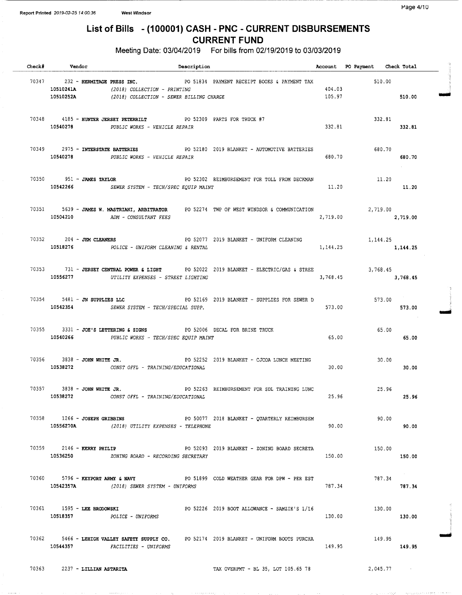Page 4/10

فتردح والواحدة والمتراوية والمرودات

# List of Bills - (100001) CASH - PNC - CURRENT DISBURSEMENTS CURRENT FUND

Meeting Date: 03/04/2019 For bills from 02/19/2019 to 03/03/2019

|       | Check# Vendor |                                                                                              | Description |                                                                                           |          | Account PO Payment Check Total         |                                    |
|-------|---------------|----------------------------------------------------------------------------------------------|-------------|-------------------------------------------------------------------------------------------|----------|----------------------------------------|------------------------------------|
|       |               | 10510241A (2018) COLLECTION - PRINTING<br>10510252A (2018) COLLECTION - SEWER BILLING CHARGE |             | 70347 232 - HERMITAGE PRESS INC. 2008 PO 51834 PAYMENT RECEIPT BOOKS & PAYMENT TAX        | 404.03   | 510.00<br>105.97 510.00                |                                    |
|       |               | 10540278 PUBLIC WORKS - VEHICLE REPAIR                                                       |             | 70348 4185 - HUNTER JERSEY PETERBILT PO 52309 PARTS FOR TRUCK #7                          | 332.81   |                                        | 332.81<br>332.81                   |
|       |               | 10540278 PUBLIC WORKS - VEHICLE REPAIR                                                       |             | 70349 2975 - INTERSTATE BATTERIES 60 2018 DO 52180 2019 BLANKET - AUTOMOTIVE BATTERIES    | 680.70   | 680.70                                 | 680.70                             |
|       |               | 10542266 SEWER SYSTEM - TECH/SPEC EQUIP MAINT                                                |             |                                                                                           | 11.20    | 11.20                                  | 11.20                              |
|       |               | 10504210 ADM - CONSULTANT FEES                                                               |             | 70351 5639 - JAMES W. MASTRIANI, ARBITRATOR PO 52274 TWP OF WEST WINDSOR & COMMUNICATION  | 2,719.00 | 2,719.00<br>2,719.00                   |                                    |
|       |               | 70352 204 - JEM CLEANERS<br>10518276 POLICE - UNIFORM CLEANING & RENTAL                      |             | PO 52077 2019 BLANKET - UNIFORM CLEANING                                                  | 1,144.25 | $1,144.25$<br>$1,144.25$<br>$1,144.25$ |                                    |
|       |               | 10556277 UTILITY EXPENSES - STREET LIGHTING                                                  |             | 70353 731 - JERSEY CENTRAL POWER & LIGHT PO 52022 2019 BLANKET - ELECTRIC/GAS & STREE     | 3,768.45 | 3,768.45<br>3,768.45                   |                                    |
|       |               | 10542354 SEWER SYSTEM - TECH/SPECIAL SUPP.                                                   |             | 70354 5481 - JN SUPPLIES LLC <b>DESAURE PO 52169 2019 BLANKET - SUPPLIES FOR SEWER D</b>  | 573.00   |                                        | 573.00<br>573.00<br><b>College</b> |
|       |               | 10540266 PUBLIC WORKS - TECH/SPEC EQUIP MAINT                                                |             | 70355 3331 - JOE'S LETTERING & SIGNS PO 52006 DECAL FOR BRINE TRUCK                       | 65.00    | 65.00                                  | 65.00                              |
|       |               | 10538272 CONST OFFL - TRAINING/EDUCATIONAL                                                   |             | 70356 3838 - JOHN WHITE JR. 2019 BLANKET - CJCOA LUNCH MEETING                            | 30.00    | 30.00                                  | 30.00                              |
|       |               | 70357 3838 - JOHN WHITE JR.<br>10538272 CONST OFFL - TRAINING/EDUCATIONAL                    |             | PO 52263 REIMBURSEMENT FOR SDL TRAINING LUNC                                              | 25.96    | 25.96                                  | 25.96                              |
|       |               | $70358$ 1266 - JOSEPH GRIBBINS<br>10556270A (2018) UTILITY EXPENSES - TELEPHONE              |             | PO 50077 2018 BLANKET - QUARTERLY REIMBURSEM                                              | 90.00    | 90.00                                  | 90.00                              |
|       |               | 10536250 ZONING BOARD - RECORDING SECRETARY                                                  |             | 70359 2146 - KERRY PHILIP COMPARED 2019 BLANKET - ZONING BOARD SECRETA                    | 150.00   | 150.00                                 | 150.00                             |
|       |               | 10542357A (2018) SEWER SYSTEM - UNIFORMS                                                     |             | 70360 5796 - KEYPORT ARMY & NAVY 6 1899 COLD WEATHER GEAR FOR DPW - PER EST               | 787.34   | 787.34                                 | 787.34                             |
|       |               | 70361 1595 - LEE BRODOWSKI<br>10518357 POLICE - UNIFORMS                                     |             | PO 52226 2019 BOOT ALLOWANCE - SAMZIE'S 1/16                                              | 130.00   | 130.00                                 | 130.00                             |
|       |               | 10544357 FACILITIES - UNIFORMS                                                               |             | 70362 5466 - LEHIGH VALLEY SAFETY SUPPLY CO. PO 52174 2019 BLANKET - UNIFORM BOOTS PURCHA | 149.95   | 149.95                                 | 149.95                             |
| 70363 |               | 2237 - LILLIAN ASTARITA                                                                      |             | TAX OVERPMT - BL 35, LOT 105.65 78                                                        |          |                                        | 2,045.77                           |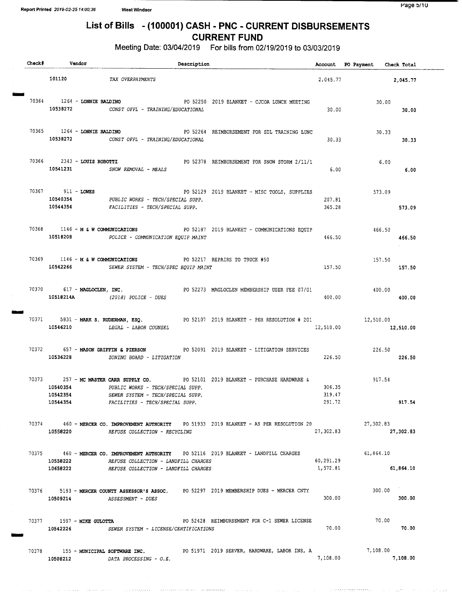### Page 5/10

# List of Bills - (100001) CASH - PNC - CURRENT DISBURSEMENTS CURRENT FUND

Meeting Date: 03/04/2019 For bills from 02/19/2019 to 03/03/2019

| Check# | Vendor            |                             |                                                                                                                             | Description |                                                                                                     |                            | Account PO Payment Check Total |           |
|--------|-------------------|-----------------------------|-----------------------------------------------------------------------------------------------------------------------------|-------------|-----------------------------------------------------------------------------------------------------|----------------------------|--------------------------------|-----------|
|        |                   |                             | 101120 TAX OVERPAYMENTS                                                                                                     |             |                                                                                                     |                            | 2,045.77                       | 2,045.77  |
|        | 10538272          | 70364 1264 - LONNIE BALDINO | CONST OFFL - TRAINING/EDUCATIONAL                                                                                           |             | PO 52250 2019 BLANKET - CJCOA LUNCH MEETING                                                         | 30.00                      | 30.00                          | 30.00     |
|        |                   |                             | 10538272 CONST OFFL - TRAINING/EDUCATIONAL                                                                                  |             | 70365 1264 - LONNIE BALDINO 60 2264 REIMBURSEMENT FOR SDL TRAINING LUNC                             | 30.33                      | 30.33                          | 30.33     |
|        |                   | 70366 2343 - LOUIS ROBOTTI  | 10541231 SNOW REMOVAL - MEALS                                                                                               |             | PO 52378 REIMBURSEMENT FOR SNOW STORM 2/11/1                                                        | 6.00                       | 6.00                           | 6.00      |
|        | 70367 911 - LOWES |                             | 10540354 PUBLIC WORKS - TECH/SPECIAL SUPP.<br>10544354 FACILITIES - TECH/SPECIAL SUPP.                                      |             | PO 52129 2019 BLANKET - MISC TOOLS, SUPPLIES                                                        | 207.81<br>365.28           | 573.09                         | 573.09    |
|        |                   |                             | 10518208 POLICE - COMMUNICATION EQUIP MAINT                                                                                 |             | 70368 1146 - M & W COMMUNICATIONS PO 52187 2019 BLANKET - COMMUNICATIONS EQUIP                      | 466.50                     | 466.50                         | 466.50    |
|        |                   |                             | 10542266 SEWER SYSTEM - TECH/SPEC EQUIP MAINT                                                                               |             | 70369 1146 - M & W COMMUNICATIONS PO 52217 REPAIRS TO TRUCK #50                                     | 157.50                     | 157.50                         | 157.50    |
|        |                   |                             | 10518214A (2018) POLICE - DUES                                                                                              |             | 70370 617 - MAGLOCLEN, INC. THE PO 52273 MAGLOCLEN MEMBERSHIP USER FEE 07/01                        | 400.00                     | 400.00                         | 400.00    |
|        |                   |                             | 10546210 LEGAL - LABOR COUNSEL                                                                                              |             | 70371 5831 - MARK S. RUDERMAN, ESQ. 88 2107 2019 BLANKET - PER RESOLUTION # 201                     | 12,510.00                  |                                | 12,510.00 |
|        |                   |                             | 10536228 ZONING BOARD - LITIGATION                                                                                          |             | 70372 657 - MASON GRIFFIN & PIERSON PO 52091 2019 BLANKET - LITIGATION SERVICES                     | 226.50                     | 226.50                         | 226.50    |
|        | 10540354          |                             | PUBLIC WORKS - TECH/SPECIAL SUPP.<br>10542354 SEWER SYSTEM - TECH/SPECIAL SUPP.<br>10544354 FACILITIES - TECH/SPECIAL SUPP. |             | 70373 257 - MC MASTER CARR SUPPLY CO. 88 PO 52101 2019 BLANKET - PURCHASE HARDWARE &                | 306.35<br>319.47<br>291.72 | 917.54                         | 917.54    |
|        | 10558220          |                             | REFUSE COLLECTION - RECYCLING                                                                                               |             | 70374 460 - MERCER CO. IMPROVEMENT AUTHORITY PO 51933 2019 BLANKET - AS PER RESOLUTION 20 27,302.83 | 27,302.83                  |                                | 27,302.83 |
|        |                   |                             | 10558222 REFUSE COLLECTION - LANDFILL CHARGES<br>10658222 REFUSE COLLECTION - LANDFILL CHARGES                              |             | 70375 460 - MERCER CO. IMPROVEMENT AUTHORITY PO 52116 2019 BLANKET - LANDFILL CHARGES               | 60,291.29<br>1,572.81      | 61,864.10                      | 61,864.10 |
|        |                   |                             | 10509214 ASSESSMENT - DUES                                                                                                  |             | 70376 5193 - MERCER COUNTY ASSESSOR'S ASSOC. PO 52297 2019 MEMBERSHIP DUES - MERCER CNTY            | 300.00                     | 300.00                         | 300.00    |
|        |                   | 70377 1597 - MIKE GULOTTA   | 10542226 SEWER SYSTEM - LICENSE/CERTIFICATIONS                                                                              |             | PO 52428 REIMBURSEMENT FOR C-1 SEWER LICENSE                                                        | 70.00                      | 70.00                          | 70.00     |
|        | 10508212          |                             | DATA PROCESSING - O.E.                                                                                                      |             | 70378 155 - MUNICIPAL SOFTWARE INC. PO 51971 2019 SERVER, HARDWARE, LABOR INS, A                    | 7,108.00                   | 7,108.00                       | 7,108.00  |

وأوجعهم والمستحيل والمستحدث والمتعاطي والمرادات

.<br>Santa terrente e con estas estas elementos de meteorologia

an alaway

المنطق الطاطف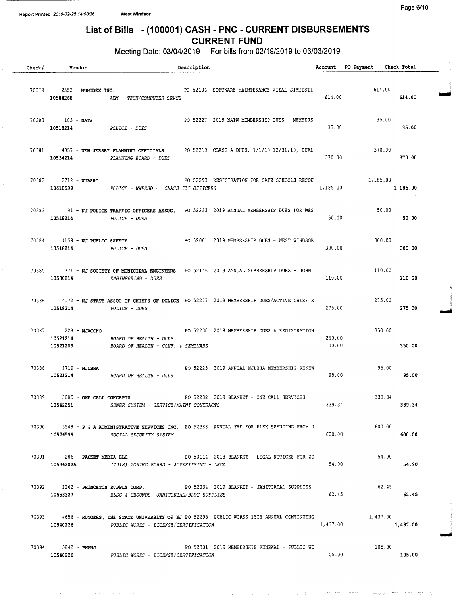# List of Bills - ( 100001) CASH - PNC - CURRENT DISBURSEMENTS CURRENT FUND

Meeting Date: 03/04/2019 For bills from 02/19/2019 to 03/03/2019

| Check# | Vendor                                          |                                                                       | Description |                                                                                               |                  | Account PO Payment Check Total |          |  |
|--------|-------------------------------------------------|-----------------------------------------------------------------------|-------------|-----------------------------------------------------------------------------------------------|------------------|--------------------------------|----------|--|
|        |                                                 | 10504268 ADM - TECH/COMPUTER SRVCS                                    |             | 70379 2552 - MUNIDEX INC. THE RELEASE POST OF SOFTWARE MAINTENANCE VITAL STATISTI             | 614.00           | 614.00                         | 614.00   |  |
|        | $70380$ $103 - NATW$<br>10518214 POLICE - DUES  |                                                                       |             | PO 52227 2019 NATW MEMBERSHIP DUES - MEMBERS                                                  | 35.00            | 35.00                          | 35.00    |  |
|        | 10534214                                        | PLANNING BOARD - DUES                                                 |             | 70381 4057 - NEW JERSEY PLANNING OFFICIALS PO 52218 CLASS A DUES, 1/1/19-12/31/19, DUAL       | 370.00           | 370.00                         | 370.00   |  |
|        | 70382 2712 - NJASRO                             | 10618599 POLICE - WWPRSD - CLASS III OFFICERS                         |             | PO 52293 REGISTRATION FOR SAFE SCHOOLS RESOU                                                  | 1,185.00         | 1,185.00                       | 1,185.00 |  |
|        | 10518214 POLICE - DUES                          |                                                                       |             | 70383 91 - NJ POLICE TRAFFIC OFFICERS ASSOC. PO 52233 2019 ANNUAL MEMBERSHIP DUES FOR WES     | 50.00            | 50.00                          | 50.00    |  |
|        | 10518214 POLICE - DUES                          |                                                                       |             | 70384 1159 - NJ PUBLIC SAFETY 60 PO 52001 2019 MEMBERSHIP DUES - WEST WINDSOR                 | 300.00           | 300.00                         | 300.00   |  |
|        |                                                 | $10530214$ ENGINEERING - DUES                                         |             | 70385 771 - NJ SOCIETY OF MUNICIPAL ENGINEERS PO 52146 2019 ANNUAL MEMBERSHIP DUES - JOHN     | 110.00           | 110.00                         | 110.00   |  |
|        | 10518214 POLICE - DUES                          |                                                                       |             | 70386 4172 - NJ STATE ASSOC OF CHIEFS OF POLICE PO 52277 2019 MEMBERSHIP DUES/ACTIVE CHIEF R  | 275.00           | 275.00                         | 275.00   |  |
|        | 70387 228 - NJACCHO<br>10521209                 | 10521214 BOARD OF HEALTH - DUES<br>BOARD OF HEALTH - CONF. & SEMINARS |             | PO 52230 2019 MEMBERSHIP DUES & REGISTRATION                                                  | 250.00<br>100.00 | 350.00                         | 350.00   |  |
|        | 70388 1719 - NJLBHA                             | 10521214 BOARD OF HEALTH - DUES                                       |             | PO 52225 2019 ANNUAL NJLBHA MEMBERSHIP RENEW                                                  | 95.00            | 95.00                          | 95.00    |  |
| 70389  | 3085 - ONE CALL CONCEPTS<br>10542251            | SEWER SYSTEM - SERVICE/MAINT CONTRACTS                                |             | PO 52202 2019 BLANKET - ONE CALL SERVICES                                                     | 339.34           | 339.34                         | 339.34   |  |
|        | 10576599                                        | SOCIAL SECURITY SYSTEM                                                |             | 70390 3548 - P & A ADMINISTRATIVE SERVICES INC. PO 52388 ANNUAL FEE FOR FLEX SPENDING FROM 0  | 600.00           | 600.00                         | 600.00   |  |
|        |                                                 | 10536202A $(2018)$ ZONING BOARD - ADVERTISING - LEGA                  |             | 70391 286 - PACKET MEDIA LLC 2018 BLANKET - LEGAL NOTICES FOR 20                              | 54.90            | 54.90                          | 54.90    |  |
|        | 70392 1262 - PRINCETON SUPPLY CORP.<br>10553327 | BLDG & GROUNDS -JANITORIAL/BLDG SUPPLIES                              |             | PO 52034 2019 BLANKET - JANITORIAL SUPPLIES                                                   | 62.45            | 62.45                          | 62.45    |  |
|        |                                                 | 10540226 PUBLIC WORKS - LICENSE/CERTIFICATION                         |             | 70393 4656 - RUTGERS, THE STATE UNIVERSITY OF NJ PO 52295 PUBLIC WORKS 15TH ANNUAL CONTINUING | 1,437.00         | 1,437.00                       | 1,437.00 |  |
|        | 70394 5842 - PWANJ                              | 10540226 PUBLIC WORKS - LICENSE/CERTIFICATION                         |             | PO 52301 2019 MEMBERSHIP RENEWAL - PUBLIC WO                                                  | 105.00           | 105.00                         | 105.00   |  |

in rije voormen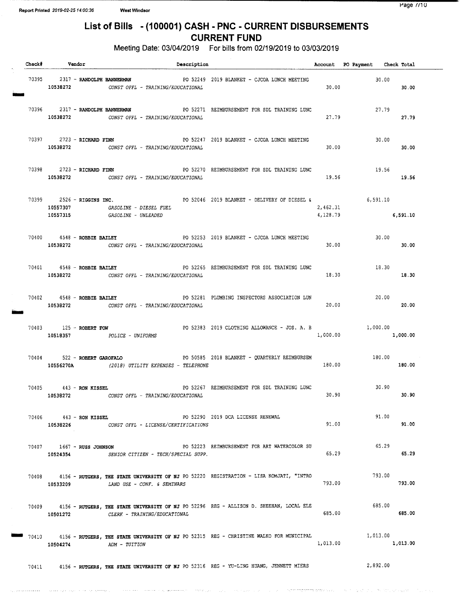# List of Bills - (100001) CASH - PNC - CURRENT DISBURSEMENTS CURRENT FUND

Meeting Date: 03/04/2019 For bills from 02/19/2019 to 03/03/2019

| <b>Check#</b> | Vendor                                            | Description                                                                                                                                         |                                                     |                      | Account PO Payment Check Total |          |
|---------------|---------------------------------------------------|-----------------------------------------------------------------------------------------------------------------------------------------------------|-----------------------------------------------------|----------------------|--------------------------------|----------|
|               |                                                   | 70395 2317 - RANDOLPH BANNERMAN PO 52249 2019 BLANKET - CJCOA LUNCH MEETING<br>10538272 CONST OFFL - TRAINING/EDUCATIONAL                           |                                                     | 30.00                | 30.00                          | 30.00    |
|               | 70396 2317 - RANDOLPH BANNERMAN<br>10538272       | CONST OFFL - TRAINING/EDUCATIONAL                                                                                                                   | PO 52271 REIMBURSEMENT FOR SDL TRAINING LUNC        | 27.79                | 27.79                          | 27.79    |
|               | 70397 2723 - RICHARD FINN                         | 10538272   CONST OFFL - TRAINING/EDUCATIONAL                                                                                                        | PO 52247 2019 BLANKET - CJCOA LUNCH MEETING         | 30.00                | 30.00                          | 30.00    |
|               |                                                   | 70398 2723 - RICHARD FINN <b>EXECUTE:</b> PO 52270 REIMBURSEMENT FOR SDL TRAINING LUNC<br>10538272 CONST OFFL - TRAINING/EDUCATIONAL                |                                                     |                      | 19.56<br>19.56 19.56           |          |
|               | 70399 2526 - RIGGINS INC.<br>10557307<br>10557315 | <i>GASOLINE - DIESEL FUEL</i><br>GASOLINE - UNLEADED                                                                                                | PO 52046 2019 BLANKET - DELIVERY OF DIESEL &        | 2,462.31<br>4,128.79 | 6,591.10<br>6,591.10           |          |
|               | 70400 4548 - ROBBIE BAILEY                        | 10538272 CONST OFFL - TRAINING/EDUCATIONAL                                                                                                          | PO 52253 2019 BLANKET - CJCOA LUNCH MEETING         | 30.00                | 30.00                          | 30.00    |
|               |                                                   | 70401 4548 - ROBBIE BAILEY <b>DESAULT SERVIET SE DE SELVET SEIMBURSEMENT FOR SDL TRAINING LUNC</b><br>10538272    CONST OFFL - TRAINING/EDUCATIONAL |                                                     | 18:30                | 18.30                          | 18.30    |
|               | 70402 4548 - ROBBIE BAILEY                        | 10538272 CONST OFFL - TRAINING/EDUCATIONAL                                                                                                          | PO 52281 PLUMBING INSPECTORS ASSOCIATION LUN        | 20.00                | 20.00                          | 20.00    |
|               |                                                   | 70403 125 - ROBERT FOW <b>PO 52383</b> 2019 CLOTHING ALLOWANCE - JOS. A. B 1,000.00<br>10518357 POLICE - UNIFORMS                                   |                                                     | 1,000.00             | 1,000.00                       |          |
|               | 70404 522 - ROBERT GAROFALO                       | 10556270A (2018) UTILITY EXPENSES - TELEPHONE                                                                                                       | PO 50585 2018 BLANKET - QUARTERLY REIMBURSEM 180.00 | 180.00               |                                | 180.00   |
|               | 70405 443 - RON KISSEL                            | 10538272    CONST OFFL - TRAINING/EDUCATIONAL                                                                                                       | PO 52267 REIMBURSEMENT FOR SDL TRAINING LUNC        |                      | 30.90<br>$30.90$ 30.90         |          |
|               | 70406 443 - RON KISSEL                            | PO 52290 2019 DCA LICENSE RENEWAL                                                                                                                   |                                                     | 91.00                | 91.00                          | 91.00    |
|               | 70407 1667 - RUSS JOHNSON                         | 10524354 SENIOR CITIZEN - TECH/SPECIAL SUPP.                                                                                                        | PO 52223 REIMBURSEMENT FOR ART WATERCOLOR SU        | 65.29                | 65.29                          | 65.29    |
|               |                                                   | 70408 4156 - RUTGERS, THE STATE UNIVERSITY OF NJ PO 52220 REGISTRATION - LISA KOMJATI, "INTRO<br>10533209 LAND USE - CONF. & SEMINARS               |                                                     | 793.00               | 793.00                         | 793.00   |
|               | 10501272                                          | 70409 4156 - RUTGERS, THE STATE UNIVERSITY OF NJ PO 52296 REG - ALLISON D. SHEEHAN, LOCAL ELE<br>CLERK - TRAINING/EDUCATIONAL                       |                                                     | 685.00               | 685.00                         | 685.00   |
|               | 10504274                                          | 70410 4156 - RUTGERS, THE STATE UNIVERSITY OF NJ PO 52315 REG - CHRISTINE WALKO FOR MUNICIPAL<br>ADM - TUITION                                      |                                                     | 1,013.00             | 1,013.00                       | 1,013.00 |
|               |                                                   | 70411 4156 - RUTGERS, THE STATE UNIVERSITY OF NJ PO 52316 REG - YU-LING HUANG, JENNETT MIERS                                                        |                                                     |                      | 2,892.00                       |          |

والمحرم ومحصوم والانتقادي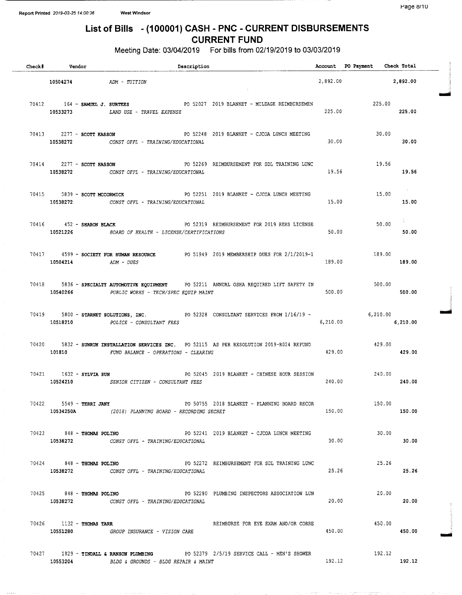# List of Bills - ( 100001) CASH - PNC - CURRENT DISBURSEMENTS CURRENT FUND

Meeting Date: 03/04/2019 For bills from 02/19/2019 to 03/03/2019

| <b>Check#</b> | Vendor                   | Description                                                                                                                               |          | Account PO Payment Check Total |                |  |
|---------------|--------------------------|-------------------------------------------------------------------------------------------------------------------------------------------|----------|--------------------------------|----------------|--|
|               |                          | 10504274 ADM - TUITION<br>$\sim$                                                                                                          |          | 2,892.00 2,892.00              |                |  |
|               |                          | 70412 164 - SAMUEL J. SURTEES PO 52027 2019 BLANKET - MILEAGE REIMBURSEMEN<br>10533273 LAND USE - TRAVEL EXPENSE                          | 225.00   | 225.00<br>225.00               |                |  |
|               |                          | 70413 2277 - SCOTT HASSON 6 2019 BLANKET - CJCOA LUNCH MEETING<br>10538272 CONST OFFL - TRAINING/EDUCATIONAL                              | 30.00    | 30.00                          | 30.00          |  |
|               |                          | 70414 2277 - SCOTT HASSON<br>PO 52269 REIMBURSEMENT FOR SDL TRAINING LUNC<br>10538272 CONST OFFL - TRAINING/EDUCATIONAL                   | 19.56    | 19.56                          | 19.56          |  |
|               |                          | PO 52251 2019 BLANKET - CJCOA LUNCH MEETING<br>70415 5839 - SCOTT MCCORMICK<br>10538272    CONST OFFL - TRAINING/EDUCATIONAL              | 15.00    |                                | 15.00<br>15.00 |  |
|               |                          | PO 52319 REIMBURSEMENT FOR 2019 REHS LICENSE<br>70416 452 - SHARON BLACK<br>10521226 BOARD OF HEALTH - LICENSE/CERTIFICATIONS             | 50.00    | 50.00                          | 50.00          |  |
|               |                          | 70417 4599 - SOCIETY FOR HUMAN RESOURCE PO 51949 2019 MEMBERSHIP DUES FOR 2/1/2019-1<br>10504214 ADM - DUES                               | 189.00   | 189.00                         | 189.00         |  |
|               |                          | 70418 5836 - SPECIALTY AUTOMOTIVE EQUIPMENT PO 52211 ANNUAL OSHA REQUIRED LIFT SAFETY IN<br>10540266 PUBLIC WORKS - TECH/SPEC EQUIP MAINT | 500.00   | 500.00<br>500.00               |                |  |
|               |                          | 70419 5800 - STARNET SOLUTIONS, INC. 20 22328 CONSULTANT SERVICES FROM 1/16/19 -<br>10518210 POLICE - CONSULTANT FEES                     | 6,210.00 | 6,210.00                       | 6,210.00       |  |
|               | 101810                   | 70420 5832 - SUNRUN INSTALLATION SERVICES INC. PO 52115 AS PER RESOLUTION 2019-R024 REFUND<br>FUND BALANCE - OPERATIONS - CLEARING        | 429.00   | 429.00                         | 429.00         |  |
|               |                          | PO 52045 2019 BLANKET - CHINESE HOUR SESSION<br>70421 1632 - SYLVIA SUN<br>10524210 SENIOR CITIZEN - CONSULTANT FEES                      | 240.00   | 240.00                         | 240.00         |  |
|               | 70422 5549 - TERRI JANY  | PO 50755 2018 BLANKET - PLANNING BOARD RECOR<br>10534250A (2018) PLANNING BOARD - RECORDING SECRET                                        | 150.00   | 150.00                         | 150.00         |  |
|               | 10538272                 | 70423 848 - THOMAS POLINO<br>PO 52241 2019 BLANKET - CJCOA LUNCH MEETING<br>CONST OFFL - TRAINING/EDUCATIONAL                             | 30.00    | 30.00                          | 30.00          |  |
|               |                          | $70424$ $848$ - THOMAS POLINO<br>PO 52272 REIMBURSEMENT FOR SDL TRAINING LUNC<br>10538272   CONST OFFL - TRAINING/EDUCATIONAL             | 25.26    | 25.26                          | 25.26          |  |
|               |                          | 70425 848 - THOMAS POLINO<br>PO 52280 PLUMBING INSPECTORS ASSOCIATION LUN<br>10538272 CONST OFFL - TRAINING/EDUCATIONAL                   | 20.00    | 20.00                          | 20.00          |  |
|               | 70426 1132 - THOMAS TARR | REIMBURSE FOR EYE EXAM AND/OR CORRE<br>10551280 GROUP INSURANCE - VISION CARE                                                             | 450.00   | 450.00                         | 450.00         |  |
|               |                          | 70427 1829 - TINDALL & RANSON PLUMBING PO 52379 2/5/19 SERVICE CALL - MEN'S SHOWER<br>10553204 BLDG & GROUNDS - BLDG REPAIR & MAINT       | 192.12   | 192.12                         | 192.12         |  |

 $\sim$  10  $^\circ$ 

in the support of a three editors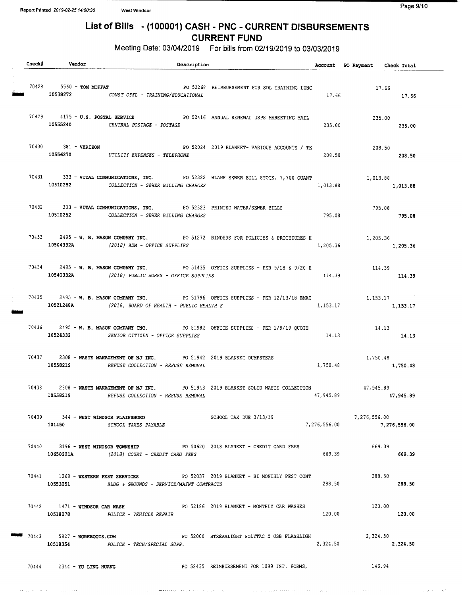are a provided as

# List of Bills - (100001) CASH - PNC - CURRENT DISBURSEMENTS CURRENT FUND

Meeting Date: 03/04/2019 For bills from 02/19/2019 to 03/03/2019

|  | Check# Vendor              | Description                                                                                                              |                                                                                                                                               |          | Account PO Payment Check Total |              |
|--|----------------------------|--------------------------------------------------------------------------------------------------------------------------|-----------------------------------------------------------------------------------------------------------------------------------------------|----------|--------------------------------|--------------|
|  |                            | 10538272 CONST OFFL - TRAINING/EDUCATIONAL                                                                               | 70428 5560 - TOM MOFFAT <b>1988</b> 1999 12268 REIMBURSEMENT FOR SDL TRAINING LUNC                                                            | 17.66    | 17.66<br>17.66                 |              |
|  |                            | 10555240 CENTRAL POSTAGE - POSTAGE                                                                                       | 70429 4175 - U.S. POSTAL SERVICE PO 52416 ANNUAL RENEWAL USPS MARKETING MAIL 235.00                                                           | 235.00   | 235.00                         |              |
|  |                            | 10556270 UTILITY EXPENSES - TELEPHONE                                                                                    | 70430 381 - VERIZON 6 6 62024 2019 BLANKET- VARIOUS ACCOUNTS / TE                                                                             | 208.50   | $208.50$ $208.50$              |              |
|  |                            | 10510252 COLLECTION - SEWER BILLING CHARGES                                                                              | 70431 333 - VITAL COMMUNICATIONS, INC. PO 52322 BLANK SEWER BILL STOCK, 7,700 QUANT                                                           |          | 1,013.88<br>1,013.88 1,013.88  |              |
|  |                            | 70432 333 - VITAL COMMUNICATIONS, INC. PO 52323 PRINTED WATER/SEWER BILLS<br>10510252 COLLECTION - SEWER BILLING CHARGES |                                                                                                                                               | 795.08   | 795.08<br>795.08               |              |
|  |                            | 10504332A (2018) ADM - OFFICE SUPPLIES                                                                                   | 70433 2495 - W. B. MASON COMPANY INC. PO 51272 BINDERS FOR POLICIES & PROCEDURES H                                                            | 1,205.36 | 1,205.36<br>1,205.36           |              |
|  |                            | 10540332A (2018) PUBLIC WORKS - OFFICE SUPPLIES                                                                          | 70434 2495 - W. B. MASON COMPANY INC. PO 51435 OFFICE SUPPLIES - PER 9/18 & 9/20 E 114.39                                                     | 114.39   | 114.39                         |              |
|  |                            | 10521248A (2018) BOARD OF HEALTH - PUBLIC HEALTH S                                                                       | 70435 2495 - W. B. MASON COMPANY INC. PO 51796 OFFICE SUPPLIES - PER 12/13/18 EMAI 2495 - W. B. MASON COMPANY INC.                            | 1,153.17 | 1,153.17                       |              |
|  |                            |                                                                                                                          | 70436 2495 - W. B. MASON COMPANY INC. PO 51982 OFFICE SUPPLIES - PER 1/8/19 QUOTE<br>10524332 SENIOR CITIZEN - OFFICE SUPPLIES 10524332 14.13 |          | $14.13$<br>14.13               |              |
|  |                            | 10558219 REFUSE COLLECTION - REFUSE REMOVAL                                                                              | 70437 2308 - WASTE MANAGEMENT OF NJ INC. PO 51942 2019 BLANKET DUMPSTERS 1 2308 - WASTE MANAGEMENT OF NJ INC.                                 |          | 1,750.48 1,750.48              |              |
|  |                            | 10558219 REFUSE COLLECTION - REFUSE REMOVAL                                                                              | 70438 2308 - WASTE MANAGEMENT OF NJ INC. PO 51943 2019 BLANKET SOLID WASTE COLLECTION 47, 945.89                                              |          | 47,945.89 47,945.89            |              |
|  |                            |                                                                                                                          | 70439 544 - WEST WINDSOR PLAINSBORO<br>7,276,556.00                                                                                           |          | 7,276,556.00                   | 7,276,556.00 |
|  |                            | 10650221A (2018) COURT - CREDIT CARD FEES                                                                                | 70440 3196 - WEST WINDSOR TOWNSHIP 60 PO 50620 2018 BLANKET - CREDIT CARD FEES                                                                | 669.39   | 669.39                         | 669.39       |
|  |                            | 10553251 BLDG & GROUNDS - SERVICE/MAINT CONTRACTS                                                                        | 70441 1268 - WESTERN PEST SERVICES PO 52037 2019 BLANKET - BI MONTHLY PEST CONT                                                               | 288.50   | 288.50<br>288.50               |              |
|  |                            | 10518278 POLICE - VEHICLE REPAIR                                                                                         | 70442 1471 - WINDSOR CAR WASH PO 52186 2019 BLANKET - MONTHLY CAR WASHES                                                                      | 120.00   | 120.00<br>120.00               |              |
|  |                            | 10518354 POLICE - TECH/SPECIAL SUPP.                                                                                     | 70443 5827 - WORKBOOTS.COM PO 52000 STREAMLIGHT POLYTAC X USB FLASHLIGH                                                                       | 2,324.50 | 2,324.50                       | 2,324.50     |
|  | 70444 2344 - YU LING HUANG |                                                                                                                          | PO 52435 REIMBURSEMENT FOR 1099 INT. FORMS,                                                                                                   |          | 146.94                         |              |

www.com.com/science.com/service/service/service/service/service/service/service/

in a

Service.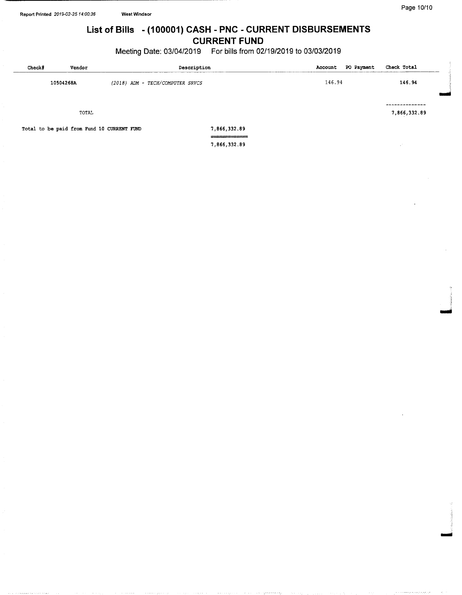# List of Bills - ( 100001) CASH - PNC - CURRENT DISBURSEMENTS CURRENT FUND

Meeting Date: 03/04/2019 For bills from 02/19/2019 to 03/03/2019

| Check# | Vendor                                     |                                  | Description  |        | Check Total<br>PO Payment |
|--------|--------------------------------------------|----------------------------------|--------------|--------|---------------------------|
|        | 10504268A                                  | (2018) ADM - TECH/COMPUTER SRVCS |              | 146.94 | 146.94                    |
|        | TOTAL                                      |                                  |              |        | 7,866,332.89              |
|        | Total to be paid from Fund 10 CURRENT FUND |                                  | 7,866,332.89 |        |                           |
|        |                                            |                                  | 7,866,332.89 |        | $\mathbf{r}$              |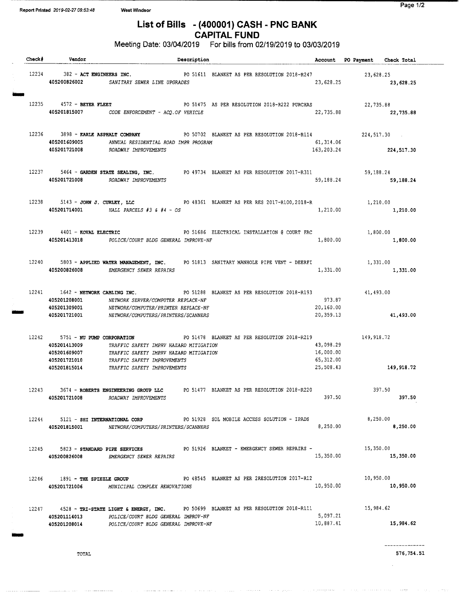Report Printed 2019-02-27 09:53:48 West Windsor

## List of Bills - (400001) CASH - PNC BANK CAPITAL FUND

Meeting Date: 03/04/2019 For bills from 02/19/2019 to 03/03/2019

| Check# | Vendor                            | Description                                                                                                                         |                        | Account PO Payment Check Total |
|--------|-----------------------------------|-------------------------------------------------------------------------------------------------------------------------------------|------------------------|--------------------------------|
| 12234  | 382 - ACT ENGINEERS INC.          | PO 51611 BLANKET AS PER RESOLUTION 2018-R247<br>405200826002 SANITARY SEWER LINE UPGRADES                                           | 23,628.25              | 23,628.25<br>23,628.25         |
|        |                                   |                                                                                                                                     |                        |                                |
|        | $12235$ $4572 - BETER$ FLEET      | PO 51475 AS PER RESOLUTION 2018-R222 PURCHAS                                                                                        |                        | 22,735.88                      |
|        |                                   | 405201815007 CODE ENFORCEMENT - ACQ. OF VEHICLE                                                                                     | 22,735.88              | 22, 735.88                     |
|        |                                   | 12236 3898 - EARLE ASPHALT COMPANY POSTOL 2 DO 50702 BLANKET AS PER RESOLUTION 2018-R114                                            |                        | 224,517.30                     |
|        |                                   | 405201609005 ANNUAL RESIDENTIAL ROAD IMPR PROGRAM<br>405201721008 ROADWAY IMPROVEMENTS                                              | 61,314.06              | 163, 203, 24<br>224,517.30     |
|        |                                   |                                                                                                                                     |                        |                                |
|        |                                   | 12237 5464 - GARDEN STATE SEALING, INC. PO 49734 BLANKET AS PER RESOLUTION 2017-R311                                                |                        | 59,188.24                      |
|        |                                   | 405201721008 ROADWAY IMPROVEMENTS                                                                                                   | 59,188.24              | 59,188.24                      |
|        |                                   | 12238 5143 - JOHN J. CURLEY, LLC PO 48361 BLANKET AS PER RES 2017-R100, 2018-R                                                      |                        | 1,210.00                       |
|        |                                   | 405201714001 HALL PARCELS #3 & #4 - OS                                                                                              | 1,210.00               | 1,210.00                       |
|        |                                   | 12239 4401 - KOVAL ELECTRIC<br>PO 51686 ELECTRICAL INSTALLATION @ COURT FAC                                                         |                        | 1,800.00                       |
|        |                                   | 405201413018 POLICE/COURT BLDG GENERAL IMPROVE-NF                                                                                   | 1,800.00               | 1,800.00                       |
|        |                                   | 12240 5803 - APPLIED WATER MANAGEMENT, INC. PO 51813 SANITARY MANHOLE PIPE VENT - DEERFI 1,331.00                                   |                        |                                |
|        |                                   | 405200826008 EMERGENCY SEWER REPAIRS                                                                                                | 1,331.00               | 1,331.00                       |
|        |                                   |                                                                                                                                     |                        |                                |
|        | 12241 1642 - NETWORK CABLING INC. | PO 51288 BLANKET AS PER RESOLUTION 2018-R193<br>405201208001 NETWORK SERVER/COMPUTER REPLACE-NF                                     | 973.87                 | 41,493.00                      |
|        |                                   | 405201309001 NETWORK/COMPUTER/PRINTER REPLACE-NF                                                                                    | 20,160.00              |                                |
|        |                                   | 405201721001 NETWORK/COMPUTERS/PRINTERS/SCANNERS                                                                                    | 20,359.13              | 41,493.00                      |
|        | 12242 5751 - NU PUMP CORPORATION  | PO 51478 BLANKET AS PER RESOLUTION 2018-R219                                                                                        |                        | 149,918.72                     |
|        | 405201413009                      | TRAFFIC SAFETY IMPRV HAZARD MITIGATION                                                                                              | 43,098.29              |                                |
|        |                                   | 405201609007 TRAFFIC SAFETY IMPRV HAZARD MITIGATION                                                                                 | 16,000.00<br>65,312.00 |                                |
|        | 405201815014                      | 405201721010 TRAFFIC SAFETY IMPROVEMENTS<br>TRAFFIC SAFETY IMPROVEMENTS                                                             | 25,508.43              | 149,918.72                     |
|        |                                   |                                                                                                                                     |                        | 397.50                         |
| 12243  | 405201721008                      | 3674 - ROBERTS ENGINEERING GROUP LLC PO 51477 BLANKET AS PER RESOLUTION 2018-R220<br>ROADWAY IMPROVEMENTS                           | 397.50                 | 397.50                         |
|        |                                   |                                                                                                                                     |                        |                                |
|        |                                   | 12244 5121 - SHI INTERNATIONAL CORP PO 51928 SDL MOBILE ACCESS SOLUTION - IPADS<br>405201815001 NETWORK/COMPUTERS/PRINTERS/SCANNERS | 8,250.00               | 8,250.00<br>8,250.00           |
|        |                                   |                                                                                                                                     |                        |                                |
|        |                                   | 12245 5823 - STANDARD PIPE SERVICES PO 51926 BLANKET - EMERGENCY SEWER REPAIRS -<br>405200826008 EMERGENCY SEWER REPAIRS            | 15,350.00              | 15,350.00<br>15,350.00         |
|        |                                   |                                                                                                                                     |                        |                                |
|        | $12246$ 1891 - THE SPIEZLE GROUP  | PO 48545 BLANKET AS PER 2RESOLUTION 2017-R12                                                                                        |                        | 10,950.00                      |
|        |                                   | 405201721006 MUNICIPAL COMPLEX RENOVATIONS                                                                                          | 10,950.00              | 10,950.00                      |
|        |                                   | 12247 4528 - TRI-STATE LIGHT & ENERGY, INC. PO 50699 BLANKET AS PER RESOLUTION 2018-R111                                            |                        | 15,984.62                      |
|        | 405201114013                      | POLICE/COURT BLDG GENERAL IMPROV-NF                                                                                                 | 5,097.21               |                                |
|        |                                   | 405201208014 POLICE/COURT BLDG GENERAL IMPROVE-NF                                                                                   | 10,887.41              | 15,984.62                      |

and a strain and

يتحدث والمحادث

Mine

-------------TOTAL 576, 754. 51

 $\ddot{\phantom{a}}$ 

Page 1/2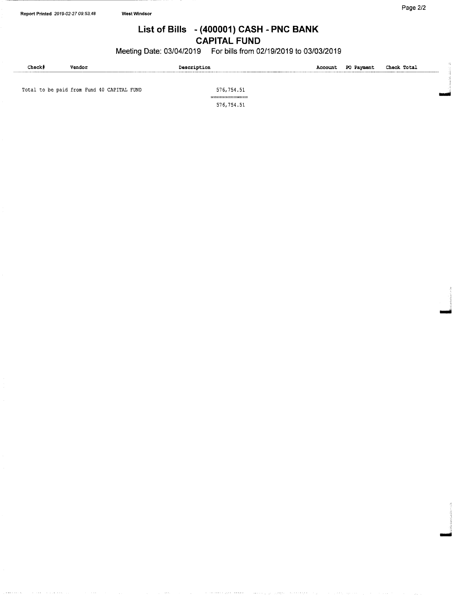# List of Bills - (400001) CASH - PNC BANK CAPITAL FUND

Meeting Date: 03/04/2019 For bills from 02/19/2019 to 03/03/2019

| Check# | Vendor                                     | Description   | Account | <b>PO Payment</b> | Check Total |              |
|--------|--------------------------------------------|---------------|---------|-------------------|-------------|--------------|
|        | Total to be paid from Fund 40 CAPITAL FUND | 576,754.51    |         |                   |             | فأذنب بمرموث |
|        |                                            | _____________ |         |                   |             |              |

576, 754. 51

أنسب

rri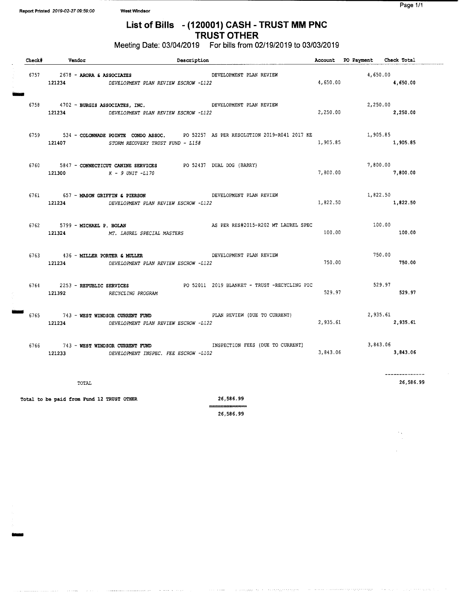ammo

## List of Bills - (120001) CASH - TRUST MM PNC TRUST OTHER

## Meeting Date: 03/04/2019 For bills from 02/19/2019 to 03/03/2019

| Check# | Vendor |                                                                                                  | Description                                                                           |          | Account PO Payment Check Total |                  |
|--------|--------|--------------------------------------------------------------------------------------------------|---------------------------------------------------------------------------------------|----------|--------------------------------|------------------|
|        | 121234 | 6757 2678 - ARORA & ASSOCIATES<br>DEVELOPMENT PLAN REVIEW ESCROW -L122                           | DEVELOPMENT PLAN REVIEW                                                               | 4,650.00 | 4,650.00                       | 4,650.00         |
|        |        | 121234 DEVELOPMENT PLAN REVIEW ESCROW -L122                                                      | 6758 4702 - BURGIS ASSOCIATES, INC. THE REVISIONE DEVELOPMENT PLAN REVIEW             | 2,250.00 | 2,250.00                       | 2,250.00         |
|        |        | 121407 STORM RECOVERY TRUST FUND - L158                                                          | 6759 534 - COLONNADE POINTE CONDO ASSOC. PO 52257 AS PER RESOLUTION 2019-R041 2017 KE | 1,905.85 | 1,905.85                       | 1,905.85         |
|        |        | 6760 5847 - CONNECTICUT CANINE SERVICES PO 52437 DUAL DOG (BARRY)<br>121300 $K - 9$ UNIT $-L170$ |                                                                                       | 7,800.00 | 7,800.00                       | 7,800.00         |
|        | 121234 | 6761 657 - MASON GRIFFIN & PIERSON<br>DEVELOPMENT PLAN REVIEW ESCROW -L122                       | DEVELOPMENT PLAN REVIEW                                                               | 1,822.50 | 1,822,50                       | 1,822.50         |
|        |        | 6762 5799 - MICHAEL P. BOLAN<br>121324 MT. LAUREL SPECIAL MASTERS                                | AS PER RES#2015-R202 MT LAUREL SPEC                                                   | 100.00   | 100.00                         | 100.00           |
|        | 121234 | 6763 436 - MILLER PORTER & MULLER<br>DEVELOPMENT PLAN REVIEW ESCROW -L122                        | DEVELOPMENT PLAN REVIEW                                                               | 750.00   | 750.00                         | 750.00           |
|        | 121392 | RECYCLING PROGRAM                                                                                |                                                                                       | 529.97   |                                | 529.97<br>529.97 |
|        |        | 121234 DEVELOPMENT PLAN REVIEW ESCROW -L122                                                      | 6765 743 - WEST WINDSOR CURRENT FUND PLAN REVIEW (DUE TO CURRENT)                     | 2,935.61 | 2,935.61                       | 2,935.61         |
| 6766   |        | 743 - WEST WINDSOR CURRENT FUND<br>121233<br>DEVELOPMENT INSPEC. FEE ESCROW -L102                | INSPECTION FEES (DUE TO CURRENT)                                                      | 3,843.06 | 3,843.06                       | 3,843.06         |
|        |        | TOTAL                                                                                            |                                                                                       |          |                                | 26,586.99        |
|        |        | Total to be paid from Fund 12 TRUST OTHER                                                        | 26,586.99                                                                             |          |                                |                  |

26, 586. 99

فتتلبث ويتردوه فليستدد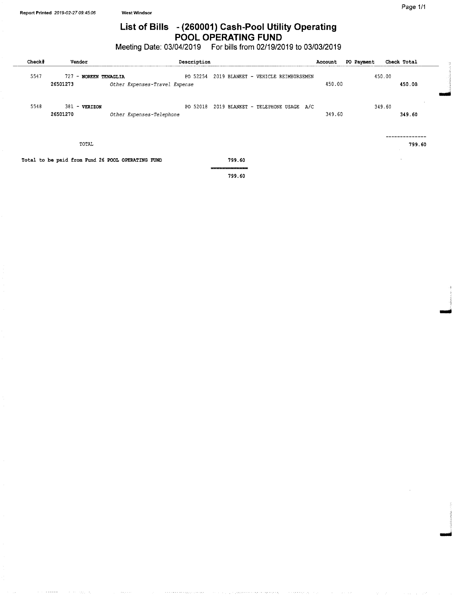# List of Bills - (260001) Cash-Pool Utility Operating POOL OPERATING FUND

Meeting Date: 03/04/2019 For bills from 02/19/2019 to 03/03/2019

| Check#                                                      | Vendor   |               |                                                        | Description |                                              | Account | PO Payment | Check Total |
|-------------------------------------------------------------|----------|---------------|--------------------------------------------------------|-------------|----------------------------------------------|---------|------------|-------------|
| 5547                                                        | 26501273 |               | 727 - NOREEN TENAGLIA<br>Other Expenses-Travel Expense |             | PO 52254 2019 BLANKET - VEHICLE REIMBURSEMEN | 450.00  | 450.00     | 450.00      |
| 5548                                                        | 26501270 | 381 - VERIZON | Other Expenses-Telephone                               |             | PO 52018 2019 BLANKET - TELEPHONE USAGE A/C  | 349.60  | 349.60     | 349.60      |
|                                                             |          | TOTAL         |                                                        |             |                                              |         |            | 799.60      |
| Total to be paid from Fund 26 POOL OPERATING FUND<br>799.60 |          |               |                                                        |             |                                              |         |            |             |
|                                                             |          |               |                                                        |             | __________<br>799.60                         |         |            |             |

mei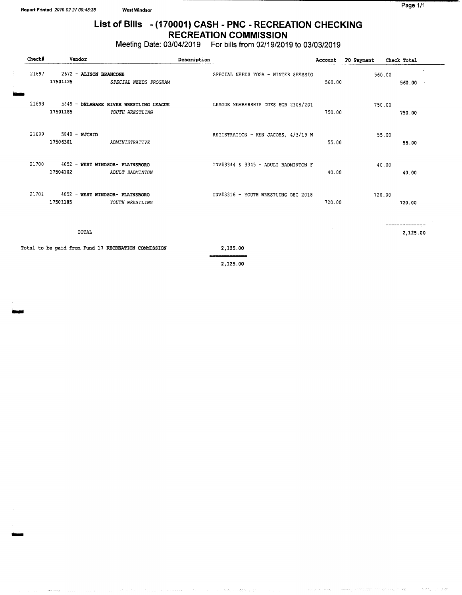## List of Bills - (170001) CASH - PNC - RECREATION CHECKING RECREATION COMMISSION

Meeting Date: 03/04/2019 For bills from 02/19/2019 to 03/03/2019

| Check# | Vendor                      |                                                           | Description                         | Account | PO Payment | Check Total    |
|--------|-----------------------------|-----------------------------------------------------------|-------------------------------------|---------|------------|----------------|
| 21697  | 17501125                    | 2672 - ALISON BRANCONE<br>SPECIAL NEEDS PROGRAM           | SPECIAL NEEDS YOGA - WINTER SEESSIO | 560.00  | 560.00     | J.<br>560.00   |
| 21698  | 17501185                    | 5849 - DELAWARE RIVER WRESTLING LEAGUE<br>YOUTH WRESTLING | LEAGUE MEMBERSHIP DUES FOR 2108/201 | 750.00  | 750.00     | 750.00         |
| 21699  | $5848 - NJCRID$<br>17506301 | <b>ADMINISTRATIVE</b>                                     | REGISTRATION - KEN JACOBS, 4/3/19 W | 55.00   | 55.00      | 55.00          |
| 21700  | 17504102                    | 4052 - WEST WINDSOR- PLAINSBORO<br>ADULT BADMINTON        | INV#3344 & 3345 - ADULT BADMINTON F | 40.00   | 40.00      | 40.00          |
| 21701  | 17501185                    | 4052 - WEST WINDSOR- PLAINSBORO<br>YOUTH WRESTLING        | INV#3316 - YOUTH WRESTLING DEC 2018 | 720.00  | 720.00     | 720.00         |
|        |                             |                                                           |                                     |         |            | -------------- |

 $_{\rm 2,125.00}$   $_{\rm 2,125.00}$ 

Total to be paid from Fund <sup>17</sup> RECREATION COMMISSION 2, 125. 00

OW

2, 125. 00